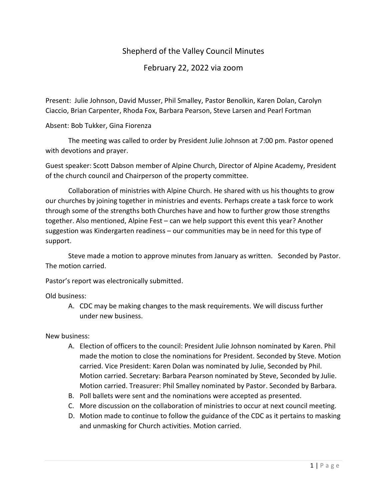## Shepherd of the Valley Council Minutes

February 22, 2022 via zoom

Present: Julie Johnson, David Musser, Phil Smalley, Pastor Benolkin, Karen Dolan, Carolyn Ciaccio, Brian Carpenter, Rhoda Fox, Barbara Pearson, Steve Larsen and Pearl Fortman

Absent: Bob Tukker, Gina Fiorenza

The meeting was called to order by President Julie Johnson at 7:00 pm. Pastor opened with devotions and prayer.

Guest speaker: Scott Dabson member of Alpine Church, Director of Alpine Academy, President of the church council and Chairperson of the property committee.

Collaboration of ministries with Alpine Church. He shared with us his thoughts to grow our churches by joining together in ministries and events. Perhaps create a task force to work through some of the strengths both Churches have and how to further grow those strengths together. Also mentioned, Alpine Fest – can we help support this event this year? Another suggestion was Kindergarten readiness – our communities may be in need for this type of support.

Steve made a motion to approve minutes from January as written. Seconded by Pastor. The motion carried.

Pastor's report was electronically submitted.

Old business:

A. CDC may be making changes to the mask requirements. We will discuss further under new business.

New business:

- A. Election of officers to the council: President Julie Johnson nominated by Karen. Phil made the motion to close the nominations for President. Seconded by Steve. Motion carried. Vice President: Karen Dolan was nominated by Julie, Seconded by Phil. Motion carried. Secretary: Barbara Pearson nominated by Steve, Seconded by Julie. Motion carried. Treasurer: Phil Smalley nominated by Pastor. Seconded by Barbara.
- B. Poll ballets were sent and the nominations were accepted as presented.
- C. More discussion on the collaboration of ministries to occur at next council meeting.
- D. Motion made to continue to follow the guidance of the CDC as it pertains to masking and unmasking for Church activities. Motion carried.